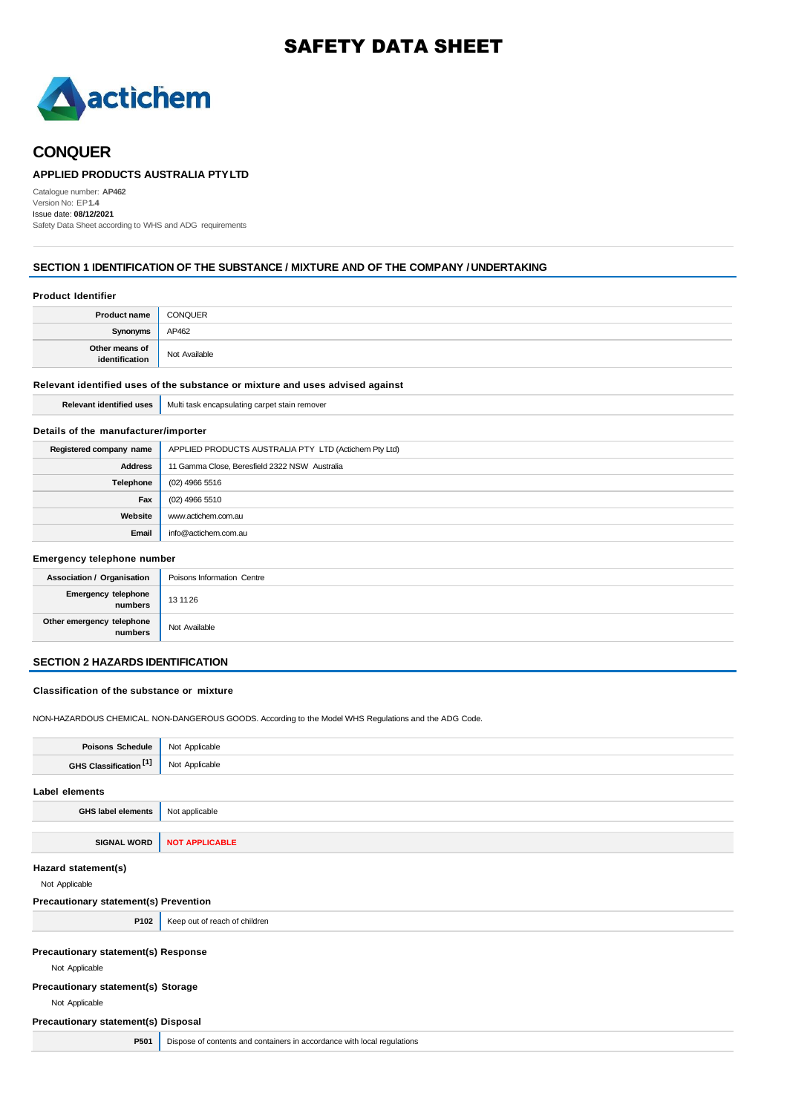# SAFETY DATA SHEET



# **CONQUER**

### **APPLIED PRODUCTS AUSTRALIA PTYLTD**

Catalogue number: **AP462** Version No: EP**1.4** Issue date: **08/12/2021** Safety Data Sheet according to WHS and ADG requirements

### **SECTION 1 IDENTIFICATION OF THE SUBSTANCE / MIXTURE AND OF THE COMPANY / UNDERTAKING**

#### **Product Identifier**

| <b>Product name</b>              | <b>CONQUER</b> |
|----------------------------------|----------------|
| Synonym:                         | AP462          |
| Other means of<br>identification | Not Available  |

### **Relevant identified uses of the substance or mixture and uses advised against**

**Relevant identified uses** Multi task encapsulating carpet stain remover

### **Details of the manufacturer/importer**

| Registered company name | APPLIED PRODUCTS AUSTRALIA PTY LTD (Actichem Pty Ltd) |
|-------------------------|-------------------------------------------------------|
| <b>Address</b>          | 11 Gamma Close, Beresfield 2322 NSW Australia         |
| Telephone               | (02) 4966 5516                                        |
| Fax                     | (02) 4966 5510                                        |
| Website                 | www.actichem.com.au                                   |
| Email                   | info@actichem.com.au                                  |

#### **Emergency telephone number**

| Association / Organisation           | Poisons Information Centre |
|--------------------------------------|----------------------------|
| Emergency telephone<br>numbers       | 13 11 26                   |
| Other emergency telephone<br>numbers | Not Available              |

### **SECTION 2 HAZARDS IDENTIFICATION**

#### **Classification of the substance or mixture**

NON-HAZARDOUS CHEMICAL. NON-DANGEROUS GOODS. According to the Model WHS Regulations and the ADG Code.

| <b>Poisons Schedule</b>                               | Not Applicable                                                          |  |
|-------------------------------------------------------|-------------------------------------------------------------------------|--|
| GHS Classification [1]                                | Not Applicable                                                          |  |
| Label elements                                        |                                                                         |  |
| <b>GHS label elements</b>                             | Not applicable                                                          |  |
|                                                       |                                                                         |  |
| <b>SIGNAL WORD</b>                                    | <b>NOT APPLICABLE</b>                                                   |  |
| Hazard statement(s)<br>Not Applicable                 |                                                                         |  |
| Precautionary statement(s) Prevention                 |                                                                         |  |
| P102                                                  | Keep out of reach of children                                           |  |
| Precautionary statement(s) Response<br>Not Applicable |                                                                         |  |
| Precautionary statement(s) Storage                    |                                                                         |  |
| Not Applicable                                        |                                                                         |  |
| Precautionary statement(s) Disposal                   |                                                                         |  |
| P501                                                  | Dispose of contents and containers in accordance with local regulations |  |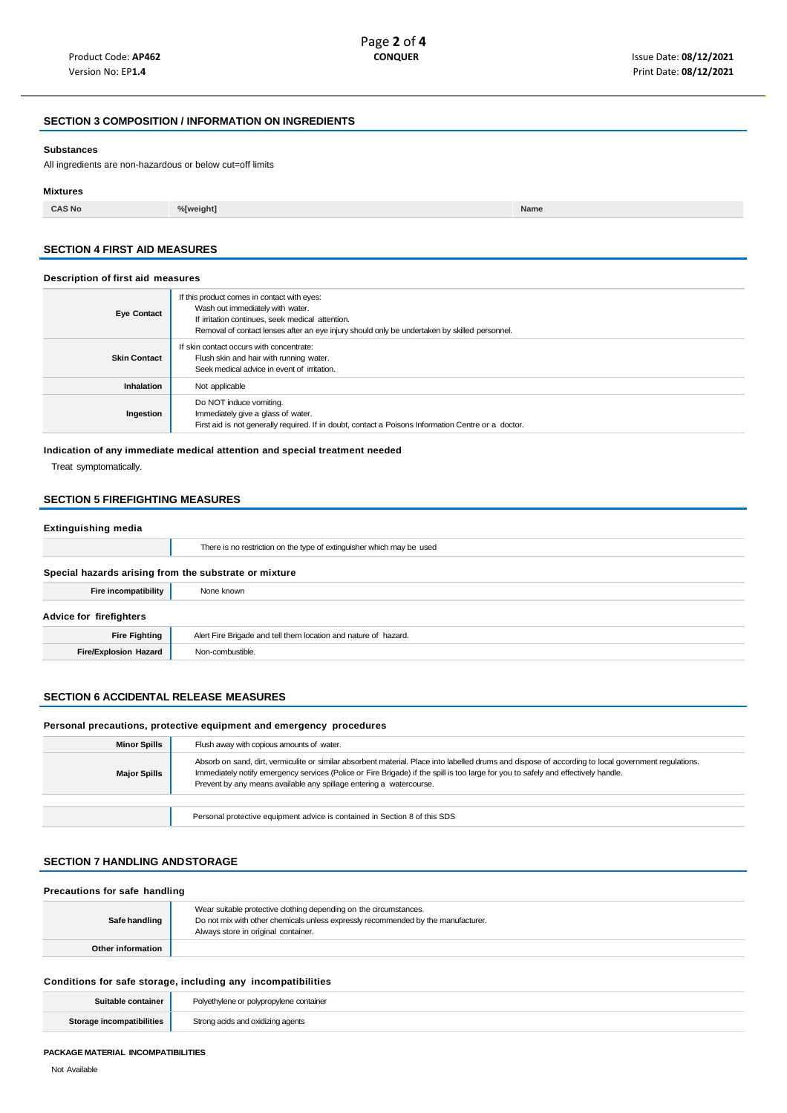### **SECTION 3 COMPOSITION / INFORMATION ON INGREDIENTS**

#### **Substances**

All ingredients are non-hazardous or below cut=off limits

#### **Mixtures**

**CAS No %[weight] Name**

### **SECTION 4 FIRST AID MEASURES**

#### **Description of first aid measures**

| <b>Eye Contact</b>  | If this product comes in contact with eyes:<br>Wash out immediately with water.<br>If irritation continues, seek medical attention.<br>Removal of contact lenses after an eye injury should only be undertaken by skilled personnel. |
|---------------------|--------------------------------------------------------------------------------------------------------------------------------------------------------------------------------------------------------------------------------------|
| <b>Skin Contact</b> | If skin contact occurs with concentrate:<br>Flush skin and hair with running water.<br>Seek medical advice in event of irritation.                                                                                                   |
| Inhalation          | Not applicable                                                                                                                                                                                                                       |
| Ingestion           | Do NOT induce vomiting.<br>Immediately give a glass of water.<br>First aid is not generally required. If in doubt, contact a Poisons Information Centre or a doctor.                                                                 |

#### **Indication of any immediate medical attention and special treatment needed**

Treat symptomatically.

### **SECTION 5 FIREFIGHTING MEASURES**

### **Extinguishing media**

|                                                       | There is no restriction on the type of extinguisher which may be used |  |
|-------------------------------------------------------|-----------------------------------------------------------------------|--|
| Special hazards arising from the substrate or mixture |                                                                       |  |
| Fire incompatibility                                  | None known                                                            |  |
| Advice for firefighters                               |                                                                       |  |
| <b>Fire Fighting</b>                                  | Alert Fire Brigade and tell them location and nature of hazard.       |  |
| <b>Fire/Explosion Hazard</b>                          | Non-combustible.                                                      |  |
|                                                       |                                                                       |  |

#### **SECTION 6 ACCIDENTAL RELEASE MEASURES**

#### **Personal precautions, protective equipment and emergency procedures**

| <b>Minor Spills</b> | Flush away with copious amounts of water.                                                                                                                                                                                                                                                                                                                         |  |
|---------------------|-------------------------------------------------------------------------------------------------------------------------------------------------------------------------------------------------------------------------------------------------------------------------------------------------------------------------------------------------------------------|--|
| <b>Major Spills</b> | Absorb on sand, dirt, vermiculite or similar absorbent material. Place into labelled drums and dispose of according to local government regulations.<br>Immediately notify emergency services (Police or Fire Brigade) if the spill is too large for you to safely and effectively handle.<br>Prevent by any means available any spillage entering a watercourse. |  |
|                     |                                                                                                                                                                                                                                                                                                                                                                   |  |
|                     | Personal protective equipment advice is contained in Section 8 of this SDS                                                                                                                                                                                                                                                                                        |  |

### **SECTION 7 HANDLING ANDSTORAGE**

| Precautions for safe handling |                                                                                                                                                                                               |  |
|-------------------------------|-----------------------------------------------------------------------------------------------------------------------------------------------------------------------------------------------|--|
| Safe handling                 | Wear suitable protective clothing depending on the circumstances.<br>Do not mix with other chemicals unless expressly recommended by the manufacturer.<br>Always store in original container. |  |
| Other information             |                                                                                                                                                                                               |  |

### **Conditions for safe storage, including any incompatibilities**

| Suitable container               | Polyethylene or polypropylene container |
|----------------------------------|-----------------------------------------|
| <b>Storage incompatibilities</b> | Strong acids and oxidizing agents       |

#### **PACKAGE MATERIAL INCOMPATIBILITIES**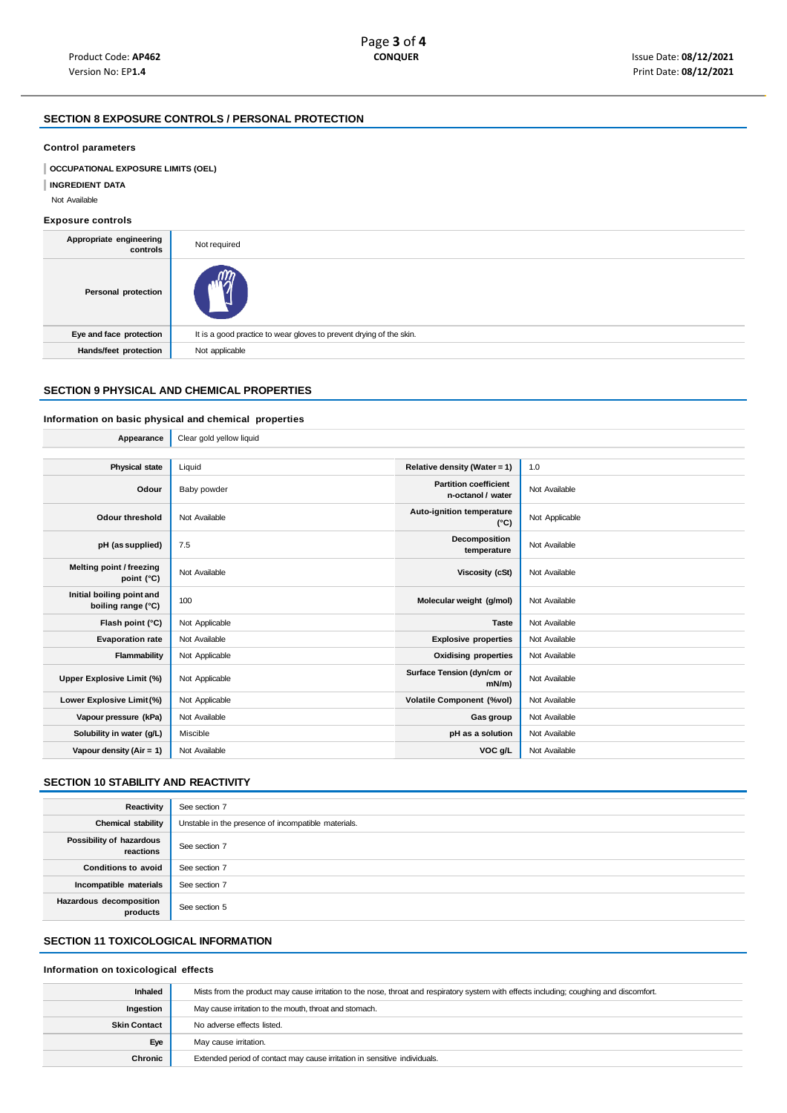### **SECTION 8 EXPOSURE CONTROLS / PERSONAL PROTECTION**

#### **Control parameters**

**OCCUPATIONAL EXPOSURE LIMITS (OEL)** 

**INGREDIENT DATA**

Not Available

### **Exposure controls**

| Appropriate engineering<br>controls | Not required                                                        |  |
|-------------------------------------|---------------------------------------------------------------------|--|
| Personal protection                 |                                                                     |  |
| Eye and face protection             | It is a good practice to wear gloves to prevent drying of the skin. |  |
| Hands/feet protection               | Not applicable                                                      |  |
|                                     |                                                                     |  |

### **SECTION 9 PHYSICAL AND CHEMICAL PROPERTIES**

### **Information on basic physical and chemical properties**

| Appearance                                      | Clear gold yellow liquid |                                                   |                |
|-------------------------------------------------|--------------------------|---------------------------------------------------|----------------|
|                                                 |                          |                                                   |                |
| <b>Physical state</b>                           | Liquid                   | Relative density (Water = 1)                      | 1.0            |
| Odour                                           | Baby powder              | <b>Partition coefficient</b><br>n-octanol / water | Not Available  |
| Odour threshold                                 | Not Available            | Auto-ignition temperature<br>$(^{\circ}C)$        | Not Applicable |
| pH (as supplied)                                | 7.5                      | Decomposition<br>temperature                      | Not Available  |
| Melting point / freezing<br>point (°C)          | Not Available            | Viscosity (cSt)                                   | Not Available  |
| Initial boiling point and<br>boiling range (°C) | 100                      | Molecular weight (g/mol)                          | Not Available  |
| Flash point (°C)                                | Not Applicable           | <b>Taste</b>                                      | Not Available  |
| <b>Evaporation rate</b>                         | Not Available            | <b>Explosive properties</b>                       | Not Available  |
| Flammability                                    | Not Applicable           | <b>Oxidising properties</b>                       | Not Available  |
| Upper Explosive Limit (%)                       | Not Applicable           | Surface Tension (dyn/cm or<br>$mN/m$ )            | Not Available  |
| Lower Explosive Limit (%)                       | Not Applicable           | <b>Volatile Component (%vol)</b>                  | Not Available  |
| Vapour pressure (kPa)                           | Not Available            | Gas group                                         | Not Available  |
| Solubility in water (g/L)                       | Miscible                 | pH as a solution                                  | Not Available  |
| Vapour density (Air = 1)                        | Not Available            | VOC g/L                                           | Not Available  |

### **SECTION 10 STABILITY AND REACTIVITY**

| Reactivity                            | See section 7                                       |
|---------------------------------------|-----------------------------------------------------|
| <b>Chemical stability</b>             | Unstable in the presence of incompatible materials. |
| Possibility of hazardous<br>reactions | See section 7                                       |
| <b>Conditions to avoid</b>            | See section 7                                       |
| Incompatible materials                | See section 7                                       |
| Hazardous decomposition<br>products   | See section 5                                       |

### **SECTION 11 TOXICOLOGICAL INFORMATION**

### **Information on toxicological effects**

| <b>Inhaled</b>      | Mists from the product may cause irritation to the nose, throat and respiratory system with effects including; coughing and discomfort. |  |
|---------------------|-----------------------------------------------------------------------------------------------------------------------------------------|--|
| Ingestion           | May cause irritation to the mouth, throat and stomach.                                                                                  |  |
| <b>Skin Contact</b> | No adverse effects listed.                                                                                                              |  |
| Eye                 | May cause irritation.                                                                                                                   |  |
| Chronic             | Extended period of contact may cause irritation in sensitive individuals.                                                               |  |